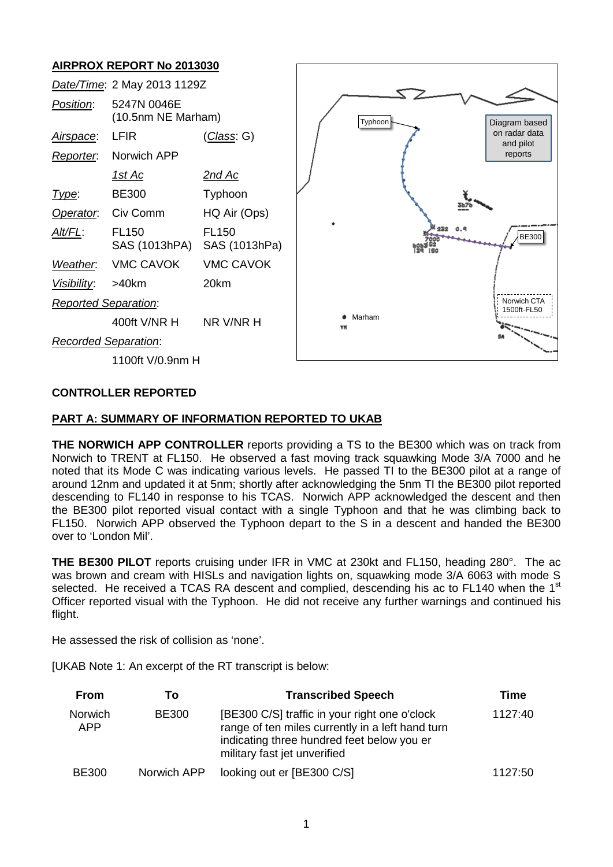## **AIRPROX REPORT No 2013030**



#### **CONTROLLER REPORTED**

### **PART A: SUMMARY OF INFORMATION REPORTED TO UKAB**

**THE NORWICH APP CONTROLLER** reports providing a TS to the BE300 which was on track from Norwich to TRENT at FL150. He observed a fast moving track squawking Mode 3/A 7000 and he noted that its Mode C was indicating various levels. He passed TI to the BE300 pilot at a range of around 12nm and updated it at 5nm; shortly after acknowledging the 5nm TI the BE300 pilot reported descending to FL140 in response to his TCAS. Norwich APP acknowledged the descent and then the BE300 pilot reported visual contact with a single Typhoon and that he was climbing back to FL150. Norwich APP observed the Typhoon depart to the S in a descent and handed the BE300 over to 'London Mil'.

**THE BE300 PILOT** reports cruising under IFR in VMC at 230kt and FL150, heading 280°. The ac was brown and cream with HISLs and navigation lights on, squawking mode 3/A 6063 with mode S selected. He received a TCAS RA descent and complied, descending his ac to FL140 when the 1<sup>st</sup> Officer reported visual with the Typhoon. He did not receive any further warnings and continued his flight.

He assessed the risk of collision as 'none'.

[UKAB Note 1: An excerpt of the RT transcript is below:

| <b>From</b>    | То           | <b>Transcribed Speech</b>                                                                                                                                                       | Time    |
|----------------|--------------|---------------------------------------------------------------------------------------------------------------------------------------------------------------------------------|---------|
| Norwich<br>APP | <b>BE300</b> | [BE300 C/S] traffic in your right one o'clock<br>range of ten miles currently in a left hand turn<br>indicating three hundred feet below you er<br>military fast jet unverified | 1127:40 |
| <b>BE300</b>   | Norwich APP  | looking out er [BE300 C/S]                                                                                                                                                      | 1127:50 |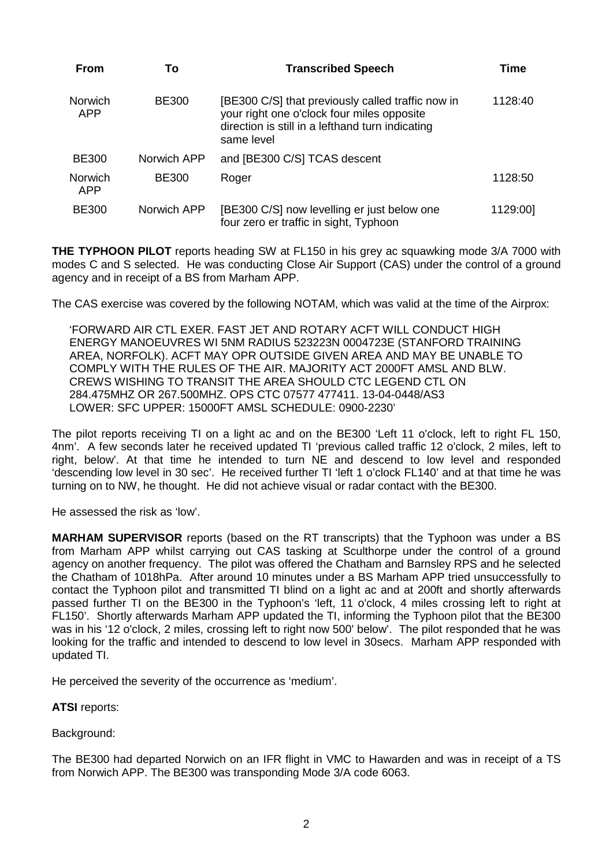| <b>From</b>           | To           | <b>Transcribed Speech</b>                                                                                                                                         | Time     |
|-----------------------|--------------|-------------------------------------------------------------------------------------------------------------------------------------------------------------------|----------|
| <b>Norwich</b><br>APP | <b>BE300</b> | [BE300 C/S] that previously called traffic now in<br>your right one o'clock four miles opposite<br>direction is still in a lefthand turn indicating<br>same level | 1128:40  |
| <b>BE300</b>          | Norwich APP  | and [BE300 C/S] TCAS descent                                                                                                                                      |          |
| <b>Norwich</b><br>APP | <b>BE300</b> | Roger                                                                                                                                                             | 1128:50  |
| <b>BE300</b>          | Norwich APP  | [BE300 C/S] now levelling er just below one<br>four zero er traffic in sight, Typhoon                                                                             | 1129:00] |

**THE TYPHOON PILOT** reports heading SW at FL150 in his grey ac squawking mode 3/A 7000 with modes C and S selected. He was conducting Close Air Support (CAS) under the control of a ground agency and in receipt of a BS from Marham APP.

The CAS exercise was covered by the following NOTAM, which was valid at the time of the Airprox:

'FORWARD AIR CTL EXER. FAST JET AND ROTARY ACFT WILL CONDUCT HIGH ENERGY MANOEUVRES WI 5NM RADIUS 523223N 0004723E (STANFORD TRAINING AREA, NORFOLK). ACFT MAY OPR OUTSIDE GIVEN AREA AND MAY BE UNABLE TO COMPLY WITH THE RULES OF THE AIR. MAJORITY ACT 2000FT AMSL AND BLW. CREWS WISHING TO TRANSIT THE AREA SHOULD CTC LEGEND CTL ON 284.475MHZ OR 267.500MHZ. OPS CTC 07577 477411. 13-04-0448/AS3 LOWER: SFC UPPER: 15000FT AMSL SCHEDULE: 0900-2230'

The pilot reports receiving TI on a light ac and on the BE300 'Left 11 o'clock, left to right FL 150, 4nm'. A few seconds later he received updated TI 'previous called traffic 12 o'clock, 2 miles, left to right, below'. At that time he intended to turn NE and descend to low level and responded 'descending low level in 30 sec'. He received further TI 'left 1 o'clock FL140' and at that time he was turning on to NW, he thought. He did not achieve visual or radar contact with the BE300.

He assessed the risk as 'low'.

**MARHAM SUPERVISOR** reports (based on the RT transcripts) that the Typhoon was under a BS from Marham APP whilst carrying out CAS tasking at Sculthorpe under the control of a ground agency on another frequency. The pilot was offered the Chatham and Barnsley RPS and he selected the Chatham of 1018hPa. After around 10 minutes under a BS Marham APP tried unsuccessfully to contact the Typhoon pilot and transmitted TI blind on a light ac and at 200ft and shortly afterwards passed further TI on the BE300 in the Typhoon's 'left, 11 o'clock, 4 miles crossing left to right at FL150'. Shortly afterwards Marham APP updated the TI, informing the Typhoon pilot that the BE300 was in his '12 o'clock, 2 miles, crossing left to right now 500' below'. The pilot responded that he was looking for the traffic and intended to descend to low level in 30secs. Marham APP responded with updated TI.

He perceived the severity of the occurrence as 'medium'.

**ATSI** reports:

Background:

The BE300 had departed Norwich on an IFR flight in VMC to Hawarden and was in receipt of a TS from Norwich APP. The BE300 was transponding Mode 3/A code 6063.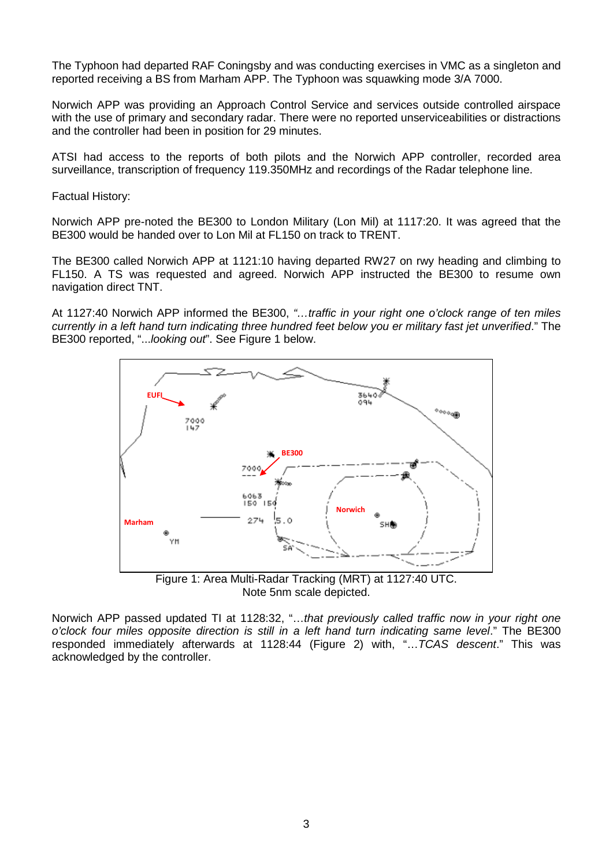The Typhoon had departed RAF Coningsby and was conducting exercises in VMC as a singleton and reported receiving a BS from Marham APP. The Typhoon was squawking mode 3/A 7000.

Norwich APP was providing an Approach Control Service and services outside controlled airspace with the use of primary and secondary radar. There were no reported unserviceabilities or distractions and the controller had been in position for 29 minutes.

ATSI had access to the reports of both pilots and the Norwich APP controller, recorded area surveillance, transcription of frequency 119.350MHz and recordings of the Radar telephone line.

Factual History:

Norwich APP pre-noted the BE300 to London Military (Lon Mil) at 1117:20. It was agreed that the BE300 would be handed over to Lon Mil at FL150 on track to TRENT.

The BE300 called Norwich APP at 1121:10 having departed RW27 on rwy heading and climbing to FL150. A TS was requested and agreed. Norwich APP instructed the BE300 to resume own navigation direct TNT.

At 1127:40 Norwich APP informed the BE300, *"…traffic in your right one o'clock range of ten miles currently in a left hand turn indicating three hundred feet below you er military fast jet unverified*." The BE300 reported, "...*looking out*". See Figure 1 below.



Note 5nm scale depicted.

Norwich APP passed updated TI at 1128:32, "…*that previously called traffic now in your right one o'clock four miles opposite direction is still in a left hand turn indicating same level*." The BE300 responded immediately afterwards at 1128:44 (Figure 2) with, "…*TCAS descent*." This was acknowledged by the controller.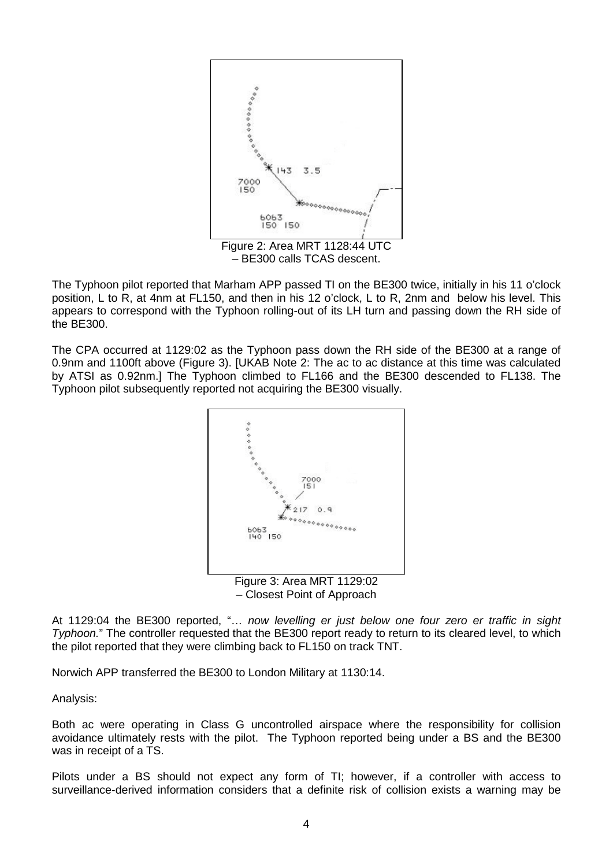

The Typhoon pilot reported that Marham APP passed TI on the BE300 twice, initially in his 11 o'clock position, L to R, at 4nm at FL150, and then in his 12 o'clock, L to R, 2nm and below his level. This appears to correspond with the Typhoon rolling-out of its LH turn and passing down the RH side of the BE300.

The CPA occurred at 1129:02 as the Typhoon pass down the RH side of the BE300 at a range of 0.9nm and 1100ft above (Figure 3). [UKAB Note 2: The ac to ac distance at this time was calculated by ATSI as 0.92nm.] The Typhoon climbed to FL166 and the BE300 descended to FL138. The Typhoon pilot subsequently reported not acquiring the BE300 visually.



– Closest Point of Approach

At 1129:04 the BE300 reported, "… *now levelling er just below one four zero er traffic in sight Typhoon.*" The controller requested that the BE300 report ready to return to its cleared level, to which the pilot reported that they were climbing back to FL150 on track TNT.

Norwich APP transferred the BE300 to London Military at 1130:14.

Analysis:

Both ac were operating in Class G uncontrolled airspace where the responsibility for collision avoidance ultimately rests with the pilot. The Typhoon reported being under a BS and the BE300 was in receipt of a TS.

Pilots under a BS should not expect any form of TI; however, if a controller with access to surveillance-derived information considers that a definite risk of collision exists a warning may be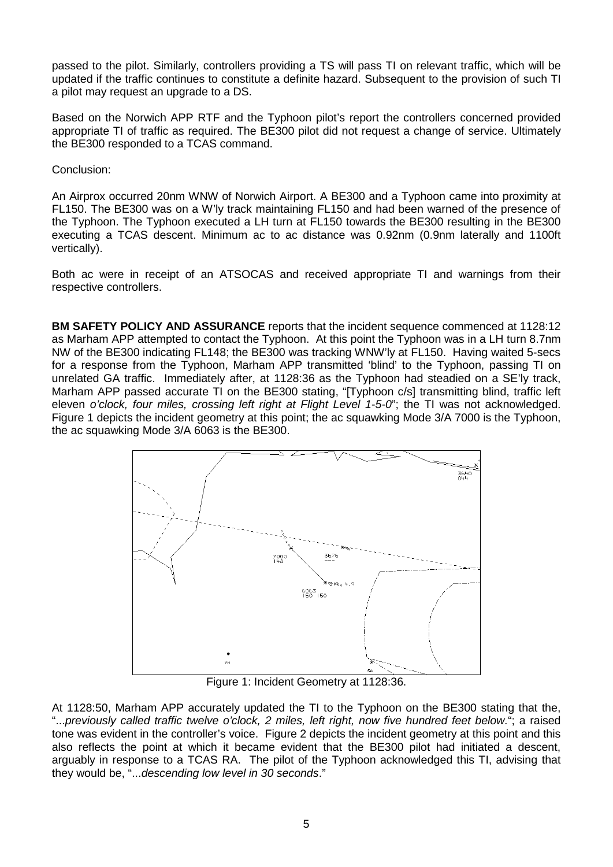passed to the pilot. Similarly, controllers providing a TS will pass TI on relevant traffic, which will be updated if the traffic continues to constitute a definite hazard. Subsequent to the provision of such TI a pilot may request an upgrade to a DS.

Based on the Norwich APP RTF and the Typhoon pilot's report the controllers concerned provided appropriate TI of traffic as required. The BE300 pilot did not request a change of service. Ultimately the BE300 responded to a TCAS command.

Conclusion:

An Airprox occurred 20nm WNW of Norwich Airport. A BE300 and a Typhoon came into proximity at FL150. The BE300 was on a W'ly track maintaining FL150 and had been warned of the presence of the Typhoon. The Typhoon executed a LH turn at FL150 towards the BE300 resulting in the BE300 executing a TCAS descent. Minimum ac to ac distance was 0.92nm (0.9nm laterally and 1100ft vertically).

Both ac were in receipt of an ATSOCAS and received appropriate TI and warnings from their respective controllers.

**BM SAFETY POLICY AND ASSURANCE** reports that the incident sequence commenced at 1128:12 as Marham APP attempted to contact the Typhoon. At this point the Typhoon was in a LH turn 8.7nm NW of the BE300 indicating FL148; the BE300 was tracking WNW'ly at FL150. Having waited 5-secs for a response from the Typhoon, Marham APP transmitted 'blind' to the Typhoon, passing TI on unrelated GA traffic. Immediately after, at 1128:36 as the Typhoon had steadied on a SE'ly track, Marham APP passed accurate TI on the BE300 stating, "[Typhoon c/s] transmitting blind, traffic left eleven *o'clock, four miles, crossing left right at Flight Level 1-5-0*"; the TI was not acknowledged. Figure 1 depicts the incident geometry at this point; the ac squawking Mode 3/A 7000 is the Typhoon, the ac squawking Mode 3/A 6063 is the BE300.



Figure 1: Incident Geometry at 1128:36.

At 1128:50, Marham APP accurately updated the TI to the Typhoon on the BE300 stating that the, "...*previously called traffic twelve o'clock, 2 miles, left right, now five hundred feet below.*"; a raised tone was evident in the controller's voice. Figure 2 depicts the incident geometry at this point and this also reflects the point at which it became evident that the BE300 pilot had initiated a descent, arguably in response to a TCAS RA. The pilot of the Typhoon acknowledged this TI, advising that they would be, "...*descending low level in 30 seconds*."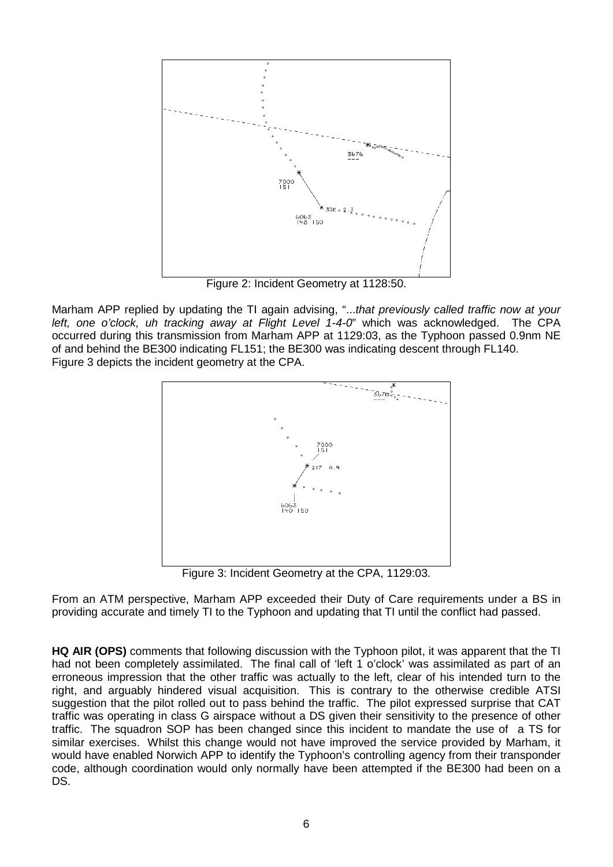

Figure 2: Incident Geometry at 1128:50.

Marham APP replied by updating the TI again advising, "...*that previously called traffic now at your left, one o'clock, uh tracking away at Flight Level 1-4-0*" which was acknowledged. The CPA occurred during this transmission from Marham APP at 1129:03, as the Typhoon passed 0.9nm NE of and behind the BE300 indicating FL151; the BE300 was indicating descent through FL140. Figure 3 depicts the incident geometry at the CPA.



Figure 3: Incident Geometry at the CPA, 1129:03.

From an ATM perspective, Marham APP exceeded their Duty of Care requirements under a BS in providing accurate and timely TI to the Typhoon and updating that TI until the conflict had passed.

**HQ AIR (OPS)** comments that following discussion with the Typhoon pilot, it was apparent that the TI had not been completely assimilated. The final call of 'left 1 o'clock' was assimilated as part of an erroneous impression that the other traffic was actually to the left, clear of his intended turn to the right, and arguably hindered visual acquisition. This is contrary to the otherwise credible ATSI suggestion that the pilot rolled out to pass behind the traffic. The pilot expressed surprise that CAT traffic was operating in class G airspace without a DS given their sensitivity to the presence of other traffic. The squadron SOP has been changed since this incident to mandate the use of a TS for similar exercises. Whilst this change would not have improved the service provided by Marham, it would have enabled Norwich APP to identify the Typhoon's controlling agency from their transponder code, although coordination would only normally have been attempted if the BE300 had been on a DS.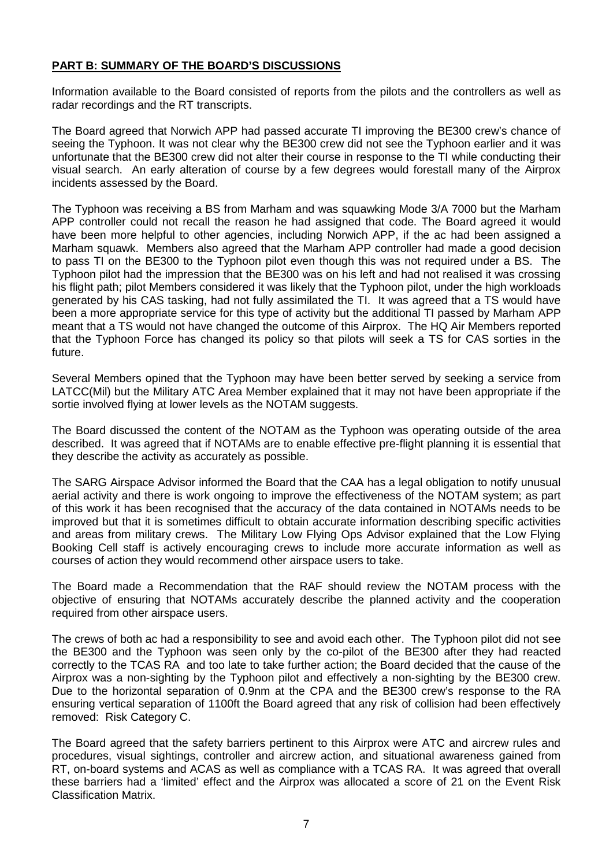## **PART B: SUMMARY OF THE BOARD'S DISCUSSIONS**

Information available to the Board consisted of reports from the pilots and the controllers as well as radar recordings and the RT transcripts.

The Board agreed that Norwich APP had passed accurate TI improving the BE300 crew's chance of seeing the Typhoon. It was not clear why the BE300 crew did not see the Typhoon earlier and it was unfortunate that the BE300 crew did not alter their course in response to the TI while conducting their visual search. An early alteration of course by a few degrees would forestall many of the Airprox incidents assessed by the Board.

The Typhoon was receiving a BS from Marham and was squawking Mode 3/A 7000 but the Marham APP controller could not recall the reason he had assigned that code. The Board agreed it would have been more helpful to other agencies, including Norwich APP, if the ac had been assigned a Marham squawk. Members also agreed that the Marham APP controller had made a good decision to pass TI on the BE300 to the Typhoon pilot even though this was not required under a BS. The Typhoon pilot had the impression that the BE300 was on his left and had not realised it was crossing his flight path; pilot Members considered it was likely that the Typhoon pilot, under the high workloads generated by his CAS tasking, had not fully assimilated the TI. It was agreed that a TS would have been a more appropriate service for this type of activity but the additional TI passed by Marham APP meant that a TS would not have changed the outcome of this Airprox. The HQ Air Members reported that the Typhoon Force has changed its policy so that pilots will seek a TS for CAS sorties in the future.

Several Members opined that the Typhoon may have been better served by seeking a service from LATCC(Mil) but the Military ATC Area Member explained that it may not have been appropriate if the sortie involved flying at lower levels as the NOTAM suggests.

The Board discussed the content of the NOTAM as the Typhoon was operating outside of the area described. It was agreed that if NOTAMs are to enable effective pre-flight planning it is essential that they describe the activity as accurately as possible.

The SARG Airspace Advisor informed the Board that the CAA has a legal obligation to notify unusual aerial activity and there is work ongoing to improve the effectiveness of the NOTAM system; as part of this work it has been recognised that the accuracy of the data contained in NOTAMs needs to be improved but that it is sometimes difficult to obtain accurate information describing specific activities and areas from military crews. The Military Low Flying Ops Advisor explained that the Low Flying Booking Cell staff is actively encouraging crews to include more accurate information as well as courses of action they would recommend other airspace users to take.

The Board made a Recommendation that the RAF should review the NOTAM process with the objective of ensuring that NOTAMs accurately describe the planned activity and the cooperation required from other airspace users.

The crews of both ac had a responsibility to see and avoid each other. The Typhoon pilot did not see the BE300 and the Typhoon was seen only by the co-pilot of the BE300 after they had reacted correctly to the TCAS RA and too late to take further action; the Board decided that the cause of the Airprox was a non-sighting by the Typhoon pilot and effectively a non-sighting by the BE300 crew. Due to the horizontal separation of 0.9nm at the CPA and the BE300 crew's response to the RA ensuring vertical separation of 1100ft the Board agreed that any risk of collision had been effectively removed: Risk Category C.

The Board agreed that the safety barriers pertinent to this Airprox were ATC and aircrew rules and procedures, visual sightings, controller and aircrew action, and situational awareness gained from RT, on-board systems and ACAS as well as compliance with a TCAS RA. It was agreed that overall these barriers had a 'limited' effect and the Airprox was allocated a score of 21 on the Event Risk Classification Matrix.